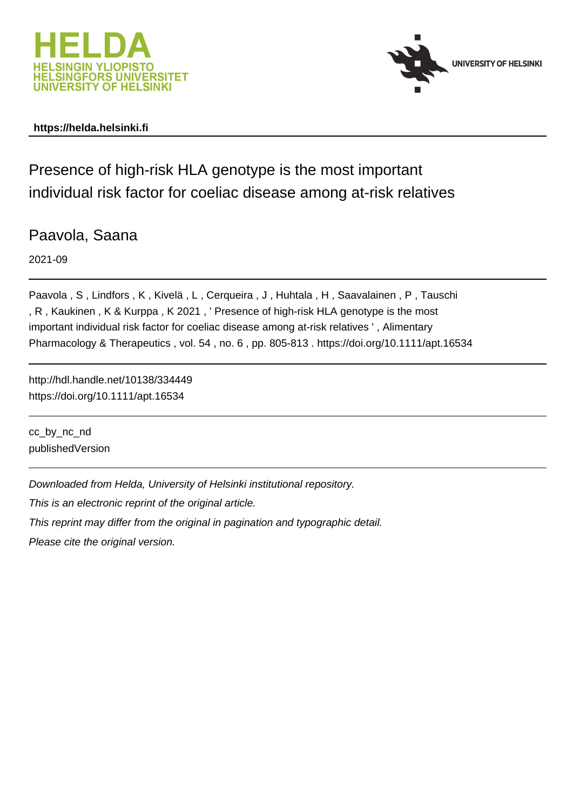



# **https://helda.helsinki.fi**

Presence of high-risk HLA genotype is the most important individual risk factor for coeliac disease among at-risk relatives

Paavola, Saana

2021-09

Paavola , S , Lindfors , K , Kivelä , L , Cerqueira , J , Huhtala , H , Saavalainen , P , Tauschi , R , Kaukinen , K & Kurppa , K 2021 , ' Presence of high-risk HLA genotype is the most important individual risk factor for coeliac disease among at-risk relatives ' , Alimentary Pharmacology & Therapeutics , vol. 54 , no. 6 , pp. 805-813 . https://doi.org/10.1111/apt.16534

http://hdl.handle.net/10138/334449 https://doi.org/10.1111/apt.16534

cc\_by\_nc\_nd publishedVersion

Downloaded from Helda, University of Helsinki institutional repository.

This is an electronic reprint of the original article.

This reprint may differ from the original in pagination and typographic detail.

Please cite the original version.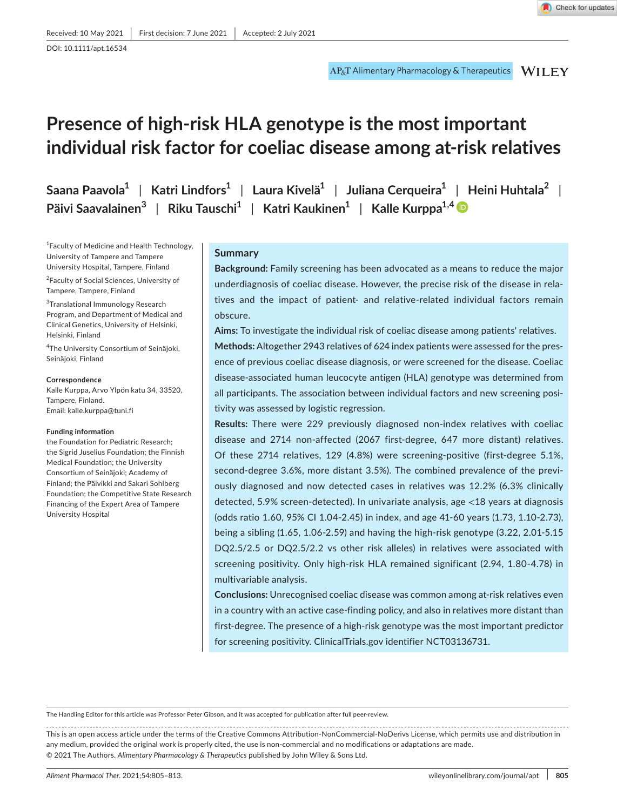DOI: 10.1111/apt.16534

# **Presence of high-risk HLA genotype is the most important individual risk factor for coeliac disease among at-risk relatives**

**Saana Paavola<sup>1</sup>** | **Katri Lindfors<sup>1</sup>** | **Laura Kivelä<sup>1</sup>** | **Juliana Cerqueira<sup>1</sup>** | **Heini Huhtala<sup>2</sup>** | **Päivi Saavalainen<sup>3</sup>** | **Riku Tauschi<sup>1</sup>** | **Katri Kaukinen<sup>1</sup>** | **Kalle Kurppa1,4**

1 Faculty of Medicine and Health Technology, University of Tampere and Tampere University Hospital, Tampere, Finland

<sup>2</sup> Faculty of Social Sciences, University of Tampere, Tampere, Finland

<sup>3</sup>Translational Immunology Research Program, and Department of Medical and Clinical Genetics, University of Helsinki, Helsinki, Finland

4 The University Consortium of Seinäjoki, Seinäjoki, Finland

**Correspondence** Kalle Kurppa, Arvo Ylpön katu 34, 33520, Tampere, Finland.

Email: [kalle.kurppa@tuni.fi](mailto:kalle.kurppa@tuni.fi)

#### **Funding information**

the Foundation for Pediatric Research; the Sigrid Juselius Foundation; the Finnish Medical Foundation; the University Consortium of Seinäjoki; Academy of Finland; the Päivikki and Sakari Sohlberg Foundation; the Competitive State Research Financing of the Expert Area of Tampere University Hospital

#### **Summary**

**Background:** Family screening has been advocated as a means to reduce the major underdiagnosis of coeliac disease. However, the precise risk of the disease in relatives and the impact of patient- and relative-related individual factors remain obscure.

**Aims:** To investigate the individual risk of coeliac disease among patients' relatives.

**Methods:** Altogether 2943 relatives of 624 index patients were assessed for the presence of previous coeliac disease diagnosis, or were screened for the disease. Coeliac disease-associated human leucocyte antigen (HLA) genotype was determined from all participants. The association between individual factors and new screening positivity was assessed by logistic regression.

**Results:** There were 229 previously diagnosed non-index relatives with coeliac disease and 2714 non-affected (2067 first-degree, 647 more distant) relatives. Of these 2714 relatives, 129 (4.8%) were screening-positive (first-degree 5.1%, second-degree 3.6%, more distant 3.5%). The combined prevalence of the previously diagnosed and now detected cases in relatives was 12.2% (6.3% clinically detected, 5.9% screen-detected). In univariate analysis, age <18 years at diagnosis (odds ratio 1.60, 95% CI 1.04-2.45) in index, and age 41-60 years (1.73, 1.10-2.73), being a sibling (1.65, 1.06-2.59) and having the high-risk genotype (3.22, 2.01-5.15 DQ2.5/2.5 or DQ2.5/2.2 vs other risk alleles) in relatives were associated with screening positivity. Only high-risk HLA remained significant (2.94, 1.80-4.78) in multivariable analysis.

**Conclusions:** Unrecognised coeliac disease was common among at-risk relatives even in a country with an active case-finding policy, and also in relatives more distant than first-degree. The presence of a high-risk genotype was the most important predictor for screening positivity. ClinicalTrials.gov identifier NCT03136731.

The Handling Editor for this article was Professor Peter Gibson, and it was accepted for publication after full peer-review.

This is an open access article under the terms of the [Creative Commons Attribution-NonCommercial-NoDerivs](http://creativecommons.org/licenses/by-nc-nd/4.0/) License, which permits use and distribution in any medium, provided the original work is properly cited, the use is non-commercial and no modifications or adaptations are made. © 2021 The Authors. *Alimentary Pharmacology & Therapeutics* published by John Wiley & Sons Ltd.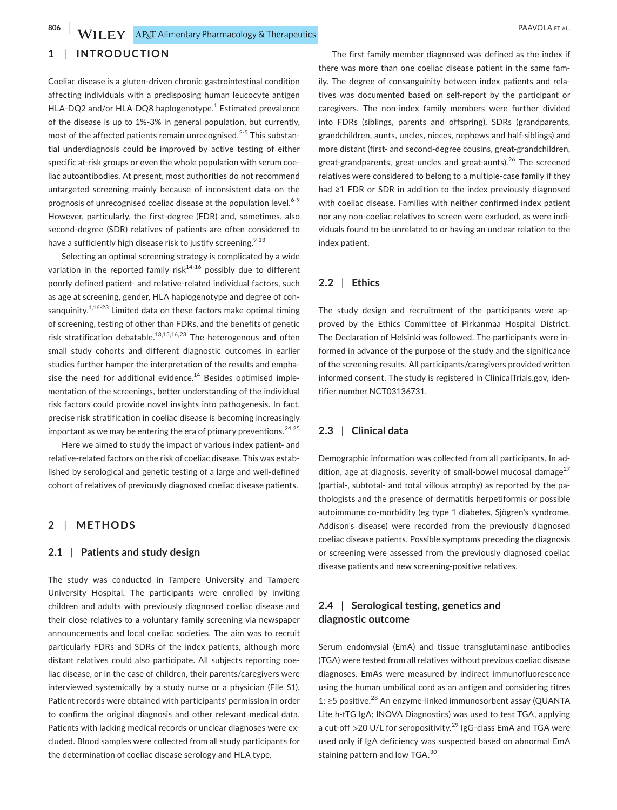# **1** | **INTRODUCTION**

Coeliac disease is a gluten-driven chronic gastrointestinal condition affecting individuals with a predisposing human leucocyte antigen HLA-DQ2 and/or HLA-DQ8 haplogenotype.<sup>1</sup> Estimated prevalence of the disease is up to 1%-3% in general population, but currently, most of the affected patients remain unrecognised.<sup>2-5</sup> This substantial underdiagnosis could be improved by active testing of either specific at-risk groups or even the whole population with serum coeliac autoantibodies. At present, most authorities do not recommend untargeted screening mainly because of inconsistent data on the prognosis of unrecognised coeliac disease at the population level.<sup>6-9</sup> However, particularly, the first-degree (FDR) and, sometimes, also second-degree (SDR) relatives of patients are often considered to have a sufficiently high disease risk to justify screening.<sup>9-13</sup>

Selecting an optimal screening strategy is complicated by a wide variation in the reported family risk<sup>14-16</sup> possibly due to different poorly defined patient- and relative-related individual factors, such as age at screening, gender, HLA haplogenotype and degree of consanguinity.<sup>1,16-23</sup> Limited data on these factors make optimal timing of screening, testing of other than FDRs, and the benefits of genetic risk stratification debatable.<sup>13,15,16,23</sup> The heterogenous and often small study cohorts and different diagnostic outcomes in earlier studies further hamper the interpretation of the results and emphasise the need for additional evidence.<sup>14</sup> Besides optimised implementation of the screenings, better understanding of the individual risk factors could provide novel insights into pathogenesis. In fact, precise risk stratification in coeliac disease is becoming increasingly important as we may be entering the era of primary preventions.  $24,25$ 

Here we aimed to study the impact of various index patient- and relative-related factors on the risk of coeliac disease. This was established by serological and genetic testing of a large and well-defined cohort of relatives of previously diagnosed coeliac disease patients.

### **2** | **METHODS**

#### **2.1** | **Patients and study design**

The study was conducted in Tampere University and Tampere University Hospital. The participants were enrolled by inviting children and adults with previously diagnosed coeliac disease and their close relatives to a voluntary family screening via newspaper announcements and local coeliac societies. The aim was to recruit particularly FDRs and SDRs of the index patients, although more distant relatives could also participate. All subjects reporting coeliac disease, or in the case of children, their parents/caregivers were interviewed systemically by a study nurse or a physician (File S1). Patient records were obtained with participants' permission in order to confirm the original diagnosis and other relevant medical data. Patients with lacking medical records or unclear diagnoses were excluded. Blood samples were collected from all study participants for the determination of coeliac disease serology and HLA type.

The first family member diagnosed was defined as the index if there was more than one coeliac disease patient in the same family. The degree of consanguinity between index patients and relatives was documented based on self-report by the participant or caregivers. The non-index family members were further divided into FDRs (siblings, parents and offspring), SDRs (grandparents, grandchildren, aunts, uncles, nieces, nephews and half-siblings) and more distant (first- and second-degree cousins, great-grandchildren, great-grandparents, great-uncles and great-aunts).<sup>26</sup> The screened relatives were considered to belong to a multiple-case family if they had ≥1 FDR or SDR in addition to the index previously diagnosed with coeliac disease. Families with neither confirmed index patient nor any non-coeliac relatives to screen were excluded, as were individuals found to be unrelated to or having an unclear relation to the index patient.

#### **2.2** | **Ethics**

The study design and recruitment of the participants were approved by the Ethics Committee of Pirkanmaa Hospital District. The Declaration of Helsinki was followed. The participants were informed in advance of the purpose of the study and the significance of the screening results. All participants/caregivers provided written informed consent. The study is registered in ClinicalTrials.gov, identifier number NCT03136731.

# **2.3** | **Clinical data**

Demographic information was collected from all participants. In addition, age at diagnosis, severity of small-bowel mucosal damage $^{27}$ (partial-, subtotal- and total villous atrophy) as reported by the pathologists and the presence of dermatitis herpetiformis or possible autoimmune co-morbidity (eg type 1 diabetes, Sjögren's syndrome, Addison's disease) were recorded from the previously diagnosed coeliac disease patients. Possible symptoms preceding the diagnosis or screening were assessed from the previously diagnosed coeliac disease patients and new screening-positive relatives.

# **2.4** | **Serological testing, genetics and diagnostic outcome**

Serum endomysial (EmA) and tissue transglutaminase antibodies (TGA) were tested from all relatives without previous coeliac disease diagnoses. EmAs were measured by indirect immunofluorescence using the human umbilical cord as an antigen and considering titres 1: ≥5 positive.<sup>28</sup> An enzyme-linked immunosorbent assay (QUANTA Lite h-tTG IgA; INOVA Diagnostics) was used to test TGA, applying a cut-off  $>$ 20 U/L for seropositivity.<sup>29</sup> IgG-class EmA and TGA were used only if IgA deficiency was suspected based on abnormal EmA staining pattern and low TGA.<sup>30</sup>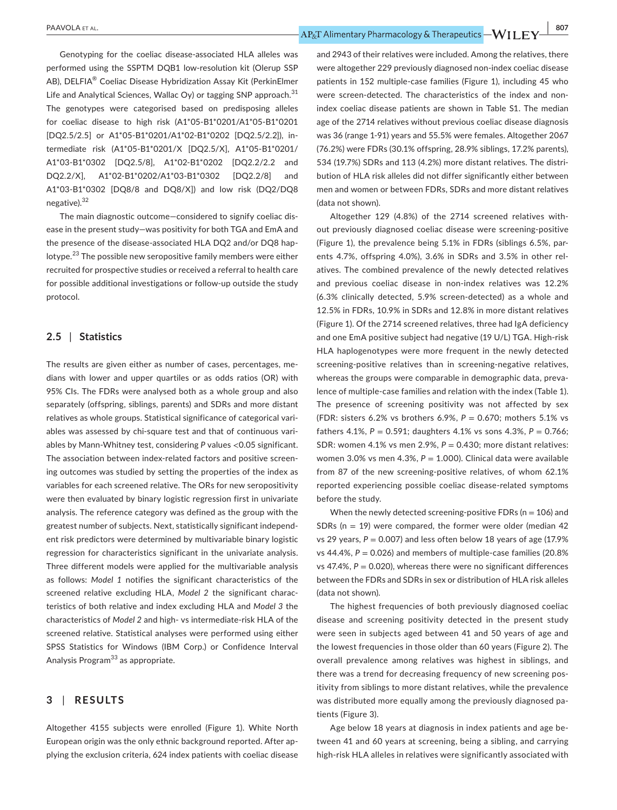Genotyping for the coeliac disease-associated HLA alleles was performed using the SSPTM DQB1 low-resolution kit (Olerup SSP AB), DELFIA® Coeliac Disease Hybridization Assay Kit (PerkinElmer Life and Analytical Sciences, Wallac Oy) or tagging SNP approach.  $31$ The genotypes were categorised based on predisposing alleles for coeliac disease to high risk (A1\*05-B1\*0201/A1\*05-B1\*0201 [DQ2.5/2.5] or A1\*05-B1\*0201/A1\*02-B1\*0202 [DQ2.5/2.2]), intermediate risk (A1\*05-B1\*0201/X [DQ2.5/X], A1\*05-B1\*0201/ A1\*03-B1\*0302 [DQ2.5/8], A1\*02-B1\*0202 [DQ2.2/2.2 and DQ2.2/X], A1\*02-B1\*0202/A1\*03-B1\*0302 [DQ2.2/8] and A1\*03-B1\*0302 [DQ8/8 and DQ8/X]) and low risk (DQ2/DQ8 negative).<sup>32</sup>

The main diagnostic outcome—considered to signify coeliac disease in the present study—was positivity for both TGA and EmA and the presence of the disease-associated HLA DQ2 and/or DQ8 haplotype.23 The possible new seropositive family members were either recruited for prospective studies or received a referral to health care for possible additional investigations or follow-up outside the study protocol.

# **2.5** | **Statistics**

The results are given either as number of cases, percentages, medians with lower and upper quartiles or as odds ratios (OR) with 95% CIs. The FDRs were analysed both as a whole group and also separately (offspring, siblings, parents) and SDRs and more distant relatives as whole groups. Statistical significance of categorical variables was assessed by chi-square test and that of continuous variables by Mann-Whitney test, considering *P* values <0.05 significant. The association between index-related factors and positive screening outcomes was studied by setting the properties of the index as variables for each screened relative. The ORs for new seropositivity were then evaluated by binary logistic regression first in univariate analysis. The reference category was defined as the group with the greatest number of subjects. Next, statistically significant independent risk predictors were determined by multivariable binary logistic regression for characteristics significant in the univariate analysis. Three different models were applied for the multivariable analysis as follows: *Model 1* notifies the significant characteristics of the screened relative excluding HLA, *Model 2* the significant characteristics of both relative and index excluding HLA and *Model 3* the characteristics of *Model 2* and high- vs intermediate-risk HLA of the screened relative. Statistical analyses were performed using either SPSS Statistics for Windows (IBM Corp.) or Confidence Interval Analysis Program<sup>33</sup> as appropriate.

# **3** | **RESULTS**

Altogether 4155 subjects were enrolled (Figure 1). White North European origin was the only ethnic background reported. After applying the exclusion criteria, 624 index patients with coeliac disease and 2943 of their relatives were included. Among the relatives, there were altogether 229 previously diagnosed non-index coeliac disease patients in 152 multiple-case families (Figure 1), including 45 who were screen-detected. The characteristics of the index and nonindex coeliac disease patients are shown in Table S1. The median age of the 2714 relatives without previous coeliac disease diagnosis was 36 (range 1-91) years and 55.5% were females. Altogether 2067 (76.2%) were FDRs (30.1% offspring, 28.9% siblings, 17.2% parents), 534 (19.7%) SDRs and 113 (4.2%) more distant relatives. The distribution of HLA risk alleles did not differ significantly either between men and women or between FDRs, SDRs and more distant relatives (data not shown).

Altogether 129 (4.8%) of the 2714 screened relatives without previously diagnosed coeliac disease were screening-positive (Figure 1), the prevalence being 5.1% in FDRs (siblings 6.5%, parents 4.7%, offspring 4.0%), 3.6% in SDRs and 3.5% in other relatives. The combined prevalence of the newly detected relatives and previous coeliac disease in non-index relatives was 12.2% (6.3% clinically detected, 5.9% screen-detected) as a whole and 12.5% in FDRs, 10.9% in SDRs and 12.8% in more distant relatives (Figure 1). Of the 2714 screened relatives, three had IgA deficiency and one EmA positive subject had negative (19 U/L) TGA. High-risk HLA haplogenotypes were more frequent in the newly detected screening-positive relatives than in screening-negative relatives, whereas the groups were comparable in demographic data, prevalence of multiple-case families and relation with the index (Table 1). The presence of screening positivity was not affected by sex (FDR: sisters 6.2% vs brothers 6.9%, *P* = 0.670; mothers 5.1% vs fathers 4.1%, *P* = 0.591; daughters 4.1% vs sons 4.3%, *P* = 0.766; SDR: women 4.1% vs men 2.9%, *P* = 0.430; more distant relatives: women 3.0% vs men 4.3%, *P* = 1.000). Clinical data were available from 87 of the new screening-positive relatives, of whom 62.1% reported experiencing possible coeliac disease-related symptoms before the study.

When the newly detected screening-positive FDRs ( $n = 106$ ) and SDRs ( $n = 19$ ) were compared, the former were older (median 42 vs 29 years,  $P = 0.007$ ) and less often below 18 years of age (17.9%) vs  $44.4\%$ ,  $P = 0.026$ ) and members of multiple-case families (20.8%) vs  $47.4\%$ ,  $P = 0.020$ ), whereas there were no significant differences between the FDRs and SDRs in sex or distribution of HLA risk alleles (data not shown).

The highest frequencies of both previously diagnosed coeliac disease and screening positivity detected in the present study were seen in subjects aged between 41 and 50 years of age and the lowest frequencies in those older than 60 years (Figure 2). The overall prevalence among relatives was highest in siblings, and there was a trend for decreasing frequency of new screening positivity from siblings to more distant relatives, while the prevalence was distributed more equally among the previously diagnosed patients (Figure 3).

Age below 18 years at diagnosis in index patients and age between 41 and 60 years at screening, being a sibling, and carrying high-risk HLA alleles in relatives were significantly associated with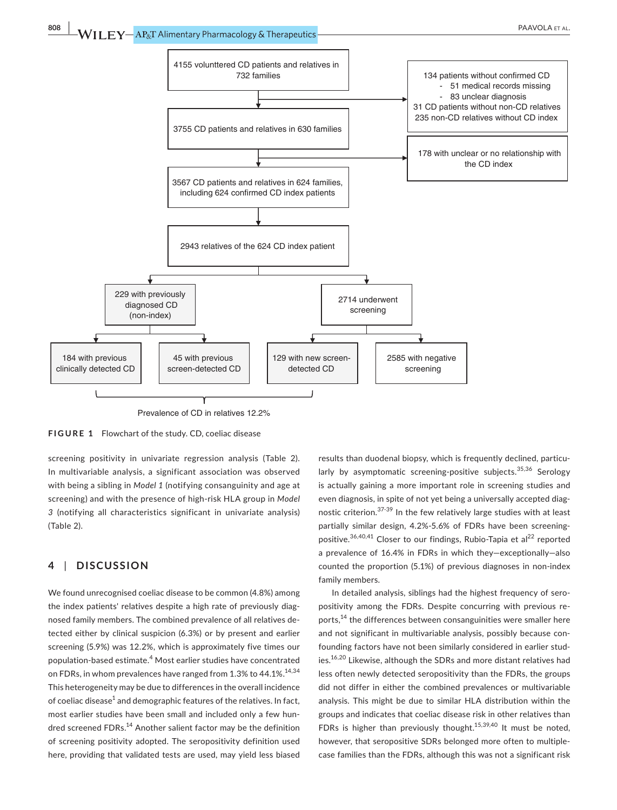

Prevalence of CD in relatives 12.2%

**FIGURE 1** Flowchart of the study. CD, coeliac disease

screening positivity in univariate regression analysis (Table 2). In multivariable analysis, a significant association was observed with being a sibling in *Model 1* (notifying consanguinity and age at screening) and with the presence of high-risk HLA group in *Model 3* (notifying all characteristics significant in univariate analysis) (Table 2).

# **4** | **DISCUSSION**

We found unrecognised coeliac disease to be common (4.8%) among the index patients' relatives despite a high rate of previously diagnosed family members. The combined prevalence of all relatives detected either by clinical suspicion (6.3%) or by present and earlier screening (5.9%) was 12.2%, which is approximately five times our population-based estimate.<sup>4</sup> Most earlier studies have concentrated on FDRs, in whom prevalences have ranged from 1.3% to 44.1%.<sup>14,34</sup> This heterogeneity may be due to differences in the overall incidence of coeliac disease $^1$  and demographic features of the relatives. In fact, most earlier studies have been small and included only a few hundred screened FDRs.<sup>14</sup> Another salient factor may be the definition of screening positivity adopted. The seropositivity definition used here, providing that validated tests are used, may yield less biased

results than duodenal biopsy, which is frequently declined, particularly by asymptomatic screening-positive subjects.<sup>35,36</sup> Serology is actually gaining a more important role in screening studies and even diagnosis, in spite of not yet being a universally accepted diagnostic criterion.<sup>37-39</sup> In the few relatively large studies with at least partially similar design, 4.2%-5.6% of FDRs have been screeningpositive.<sup>36,40,41</sup> Closer to our findings, Rubio-Tapia et al<sup>22</sup> reported a prevalence of 16.4% in FDRs in which they—exceptionally—also counted the proportion (5.1%) of previous diagnoses in non-index family members.

In detailed analysis, siblings had the highest frequency of seropositivity among the FDRs. Despite concurring with previous reports,<sup>14</sup> the differences between consanguinities were smaller here and not significant in multivariable analysis, possibly because confounding factors have not been similarly considered in earlier studies.16,20 Likewise, although the SDRs and more distant relatives had less often newly detected seropositivity than the FDRs, the groups did not differ in either the combined prevalences or multivariable analysis. This might be due to similar HLA distribution within the groups and indicates that coeliac disease risk in other relatives than FDRs is higher than previously thought.<sup>15,39,40</sup> It must be noted, however, that seropositive SDRs belonged more often to multiplecase families than the FDRs, although this was not a significant risk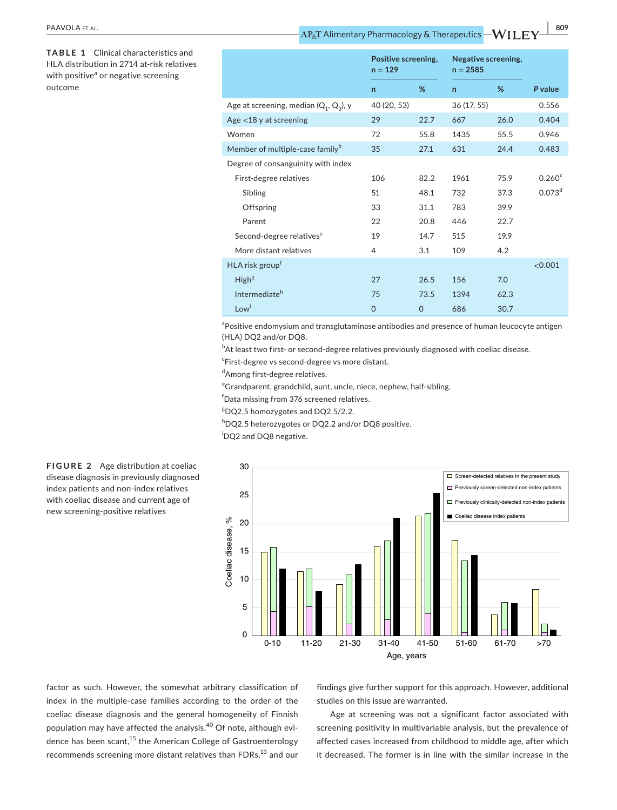**TABLE 1** Clinical characteristics and HLA distribution in 2714 at-risk relatives with positive<sup>a</sup> or negative screening outcome

|                                             | Positive screening,<br>$n = 129$ |      | Negative screening,<br>$n = 2585$ |      |                    |
|---------------------------------------------|----------------------------------|------|-----------------------------------|------|--------------------|
|                                             | $\mathsf{n}$                     | %    | $\mathsf{n}$                      | %    | P value            |
| Age at screening, median $(Q_1, Q_3)$ , y   | 40 (20, 53)                      |      | 36 (17, 55)                       |      | 0.556              |
| Age $<$ 18 y at screening                   | 29                               | 22.7 | 667                               | 26.0 | 0.404              |
| Women                                       | 72                               | 55.8 | 1435                              | 55.5 | 0.946              |
| Member of multiple-case family <sup>b</sup> | 35                               | 27.1 | 631                               | 24.4 | 0.483              |
| Degree of consanguinity with index          |                                  |      |                                   |      |                    |
| First-degree relatives                      | 106                              | 82.2 | 1961                              | 75.9 | 0.260 <sup>c</sup> |
| Sibling                                     | 51                               | 48.1 | 732                               | 37.3 | 0.073 <sup>d</sup> |
| Offspring                                   | 33                               | 31.1 | 783                               | 39.9 |                    |
| Parent                                      | 22                               | 20.8 | 446                               | 22.7 |                    |
| Second-degree relatives <sup>e</sup>        | 19                               | 14.7 | 515                               | 19.9 |                    |
| More distant relatives                      | 4                                | 3.1  | 109                               | 4.2  |                    |
| HLA risk group <sup>t</sup>                 |                                  |      |                                   |      | < 0.001            |
| High <sup>g</sup>                           | 27                               | 26.5 | 156                               | 7.0  |                    |
| Intermediate <sup>h</sup>                   | 75                               | 73.5 | 1394                              | 62.3 |                    |
| Low <sup>i</sup>                            | $\mathbf 0$                      | 0    | 686                               | 30.7 |                    |

<sup>a</sup>Positive endomysium and transglutaminase antibodies and presence of human leucocyte antigen (HLA) DQ2 and/or DQ8.

 $^{\rm b}$ At least two first- or second-degree relatives previously diagnosed with coeliac disease.

c First-degree vs second-degree vs more distant.

dAmong first-degree relatives.

e Grandparent, grandchild, aunt, uncle, niece, nephew, half-sibling.

f Data missing from 376 screened relatives.

g DQ2.5 homozygotes and DQ2.5/2.2.

hDQ2.5 heterozygotes or DQ2.2 and/or DQ8 positive.

i DQ2 and DQ8 negative.



**FIGURE 2** Age distribution at coeliac disease diagnosis in previously diagnosed index patients and non-index relatives with coeliac disease and current age of new screening-positive relatives

factor as such. However, the somewhat arbitrary classification of index in the multiple-case families according to the order of the coeliac disease diagnosis and the general homogeneity of Finnish population may have affected the analysis.<sup>40</sup> Of note, although evidence has been scant,<sup>15</sup> the American College of Gastroenterology recommends screening more distant relatives than FDRs,<sup>13</sup> and our findings give further support for this approach. However, additional studies on this issue are warranted.

Age at screening was not a significant factor associated with screening positivity in multivariable analysis, but the prevalence of affected cases increased from childhood to middle age, after which it decreased. The former is in line with the similar increase in the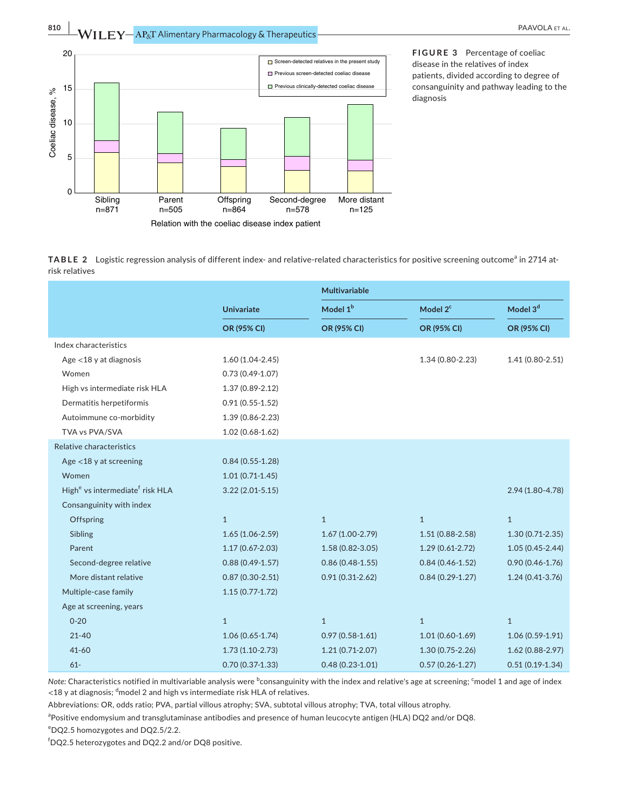



**FIGURE 3** Percentage of coeliac disease in the relatives of index patients, divided according to degree of consanguinity and pathway leading to the diagnosis

TABLE 2 Logistic regression analysis of different index- and relative-related characteristics for positive screening outcome<sup>a</sup> in 2714 atrisk relatives

|                                                         |                     | Multivariable        |                      |                      |  |
|---------------------------------------------------------|---------------------|----------------------|----------------------|----------------------|--|
|                                                         | <b>Univariate</b>   | Model 1 <sup>b</sup> | Model 2 <sup>c</sup> | Model 3 <sup>d</sup> |  |
|                                                         | OR (95% CI)         | OR (95% CI)          | OR (95% CI)          | OR (95% CI)          |  |
| Index characteristics                                   |                     |                      |                      |                      |  |
| Age $<$ 18 y at diagnosis                               | $1.60(1.04 - 2.45)$ |                      | $1.34(0.80 - 2.23)$  | $1.41(0.80 - 2.51)$  |  |
| Women                                                   | $0.73(0.49 - 1.07)$ |                      |                      |                      |  |
| High vs intermediate risk HLA                           | $1.37(0.89 - 2.12)$ |                      |                      |                      |  |
| Dermatitis herpetiformis                                | $0.91(0.55 - 1.52)$ |                      |                      |                      |  |
| Autoimmune co-morbidity                                 | 1.39 (0.86-2.23)    |                      |                      |                      |  |
| TVA vs PVA/SVA                                          | $1.02(0.68 - 1.62)$ |                      |                      |                      |  |
| Relative characteristics                                |                     |                      |                      |                      |  |
| Age $<$ 18 y at screening                               | $0.84(0.55-1.28)$   |                      |                      |                      |  |
| Women                                                   | $1.01(0.71-1.45)$   |                      |                      |                      |  |
| High <sup>e</sup> vs intermediate <sup>f</sup> risk HLA | $3.22(2.01 - 5.15)$ |                      |                      | 2.94 (1.80-4.78)     |  |
| Consanguinity with index                                |                     |                      |                      |                      |  |
| Offspring                                               | $\mathbf{1}$        | $\mathbf{1}$         | $\mathbf{1}$         | $\mathbf{1}$         |  |
| Sibling                                                 | $1.65(1.06 - 2.59)$ | $1.67(1.00-2.79)$    | $1.51(0.88 - 2.58)$  | $1.30(0.71-2.35)$    |  |
| Parent                                                  | $1.17(0.67 - 2.03)$ | $1.58(0.82 - 3.05)$  | $1.29(0.61-2.72)$    | $1.05(0.45 - 2.44)$  |  |
| Second-degree relative                                  | $0.88(0.49-1.57)$   | $0.86(0.48 - 1.55)$  | $0.84(0.46 - 1.52)$  | $0.90(0.46 - 1.76)$  |  |
| More distant relative                                   | $0.87(0.30-2.51)$   | $0.91(0.31 - 2.62)$  | $0.84(0.29-1.27)$    | $1.24(0.41-3.76)$    |  |
| Multiple-case family                                    | $1.15(0.77 - 1.72)$ |                      |                      |                      |  |
| Age at screening, years                                 |                     |                      |                      |                      |  |
| $0 - 20$                                                | $\mathbf{1}$        | $\mathbf{1}$         | $\mathbf{1}$         | $\mathbf{1}$         |  |
| $21 - 40$                                               | $1.06(0.65 - 1.74)$ | $0.97(0.58 - 1.61)$  | $1.01(0.60 - 1.69)$  | $1.06(0.59-1.91)$    |  |
| $41 - 60$                                               | $1.73(1.10-2.73)$   | $1.21(0.71-2.07)$    | $1.30(0.75 - 2.26)$  | $1.62(0.88-2.97)$    |  |
| $61-$                                                   | $0.70(0.37 - 1.33)$ | $0.48(0.23 - 1.01)$  | $0.57(0.26 - 1.27)$  | $0.51(0.19-1.34)$    |  |

Note: Characteristics notified in multivariable analysis were <sup>b</sup>consanguinity with the index and relative's age at screening; <sup>c</sup>model 1 and age of index  $<$ 18 y at diagnosis;  $^{\mathsf{d}}$ model 2 and high vs intermediate risk HLA of relatives.

Abbreviations: OR, odds ratio; PVA, partial villous atrophy; SVA, subtotal villous atrophy; TVA, total villous atrophy.

<sup>a</sup>Positive endomysium and transglutaminase antibodies and presence of human leucocyte antigen (HLA) DQ2 and/or DQ8.

e DQ2.5 homozygotes and DQ2.5/2.2.

f DQ2.5 heterozygotes and DQ2.2 and/or DQ8 positive.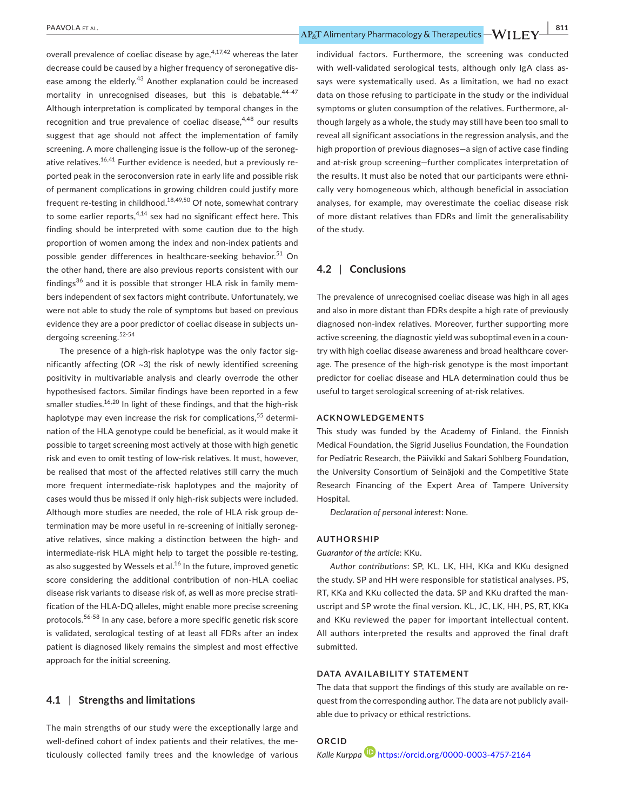overall prevalence of coeliac disease by age,  $4,17,42$  whereas the later decrease could be caused by a higher frequency of seronegative disease among the elderly.<sup>43</sup> Another explanation could be increased mortality in unrecognised diseases, but this is debatable.<sup>44-47</sup> Although interpretation is complicated by temporal changes in the recognition and true prevalence of coeliac disease, $4,48$  our results suggest that age should not affect the implementation of family screening. A more challenging issue is the follow-up of the seronegative relatives.<sup>16,41</sup> Further evidence is needed, but a previously reported peak in the seroconversion rate in early life and possible risk of permanent complications in growing children could justify more frequent re-testing in childhood.<sup>18,49,50</sup> Of note, somewhat contrary to some earlier reports,  $4,14$  sex had no significant effect here. This finding should be interpreted with some caution due to the high proportion of women among the index and non-index patients and possible gender differences in healthcare-seeking behavior.<sup>51</sup> On the other hand, there are also previous reports consistent with our findings<sup>36</sup> and it is possible that stronger HLA risk in family members independent of sex factors might contribute. Unfortunately, we were not able to study the role of symptoms but based on previous evidence they are a poor predictor of coeliac disease in subjects undergoing screening.<sup>52-54</sup>

The presence of a high-risk haplotype was the only factor significantly affecting (OR ~3) the risk of newly identified screening positivity in multivariable analysis and clearly overrode the other hypothesised factors. Similar findings have been reported in a few smaller studies.<sup>16,20</sup> In light of these findings, and that the high-risk haplotype may even increase the risk for complications,<sup>55</sup> determination of the HLA genotype could be beneficial, as it would make it possible to target screening most actively at those with high genetic risk and even to omit testing of low-risk relatives. It must, however, be realised that most of the affected relatives still carry the much more frequent intermediate-risk haplotypes and the majority of cases would thus be missed if only high-risk subjects were included. Although more studies are needed, the role of HLA risk group determination may be more useful in re-screening of initially seronegative relatives, since making a distinction between the high- and intermediate-risk HLA might help to target the possible re-testing, as also suggested by Wessels et al. $^{16}$  In the future, improved genetic score considering the additional contribution of non-HLA coeliac disease risk variants to disease risk of, as well as more precise stratification of the HLA-DQ alleles, might enable more precise screening protocols.56-58 In any case, before a more specific genetic risk score is validated, serological testing of at least all FDRs after an index patient is diagnosed likely remains the simplest and most effective approach for the initial screening.

## **4.1** | **Strengths and limitations**

The main strengths of our study were the exceptionally large and well-defined cohort of index patients and their relatives, the meticulously collected family trees and the knowledge of various individual factors. Furthermore, the screening was conducted with well-validated serological tests, although only IgA class assays were systematically used. As a limitation, we had no exact data on those refusing to participate in the study or the individual symptoms or gluten consumption of the relatives. Furthermore, although largely as a whole, the study may still have been too small to reveal all significant associations in the regression analysis, and the high proportion of previous diagnoses—a sign of active case finding and at-risk group screening—further complicates interpretation of the results. It must also be noted that our participants were ethnically very homogeneous which, although beneficial in association analyses, for example, may overestimate the coeliac disease risk of more distant relatives than FDRs and limit the generalisability of the study.

# **4.2** | **Conclusions**

The prevalence of unrecognised coeliac disease was high in all ages and also in more distant than FDRs despite a high rate of previously diagnosed non-index relatives. Moreover, further supporting more active screening, the diagnostic yield was suboptimal even in a country with high coeliac disease awareness and broad healthcare coverage. The presence of the high-risk genotype is the most important predictor for coeliac disease and HLA determination could thus be useful to target serological screening of at-risk relatives.

#### **ACKNOWLEDGEMENTS**

This study was funded by the Academy of Finland, the Finnish Medical Foundation, the Sigrid Juselius Foundation, the Foundation for Pediatric Research, the Päivikki and Sakari Sohlberg Foundation, the University Consortium of Seinäjoki and the Competitive State Research Financing of the Expert Area of Tampere University Hospital.

*Declaration of personal interest*: None.

#### **AUTHORSHIP**

*Guarantor of the article*: KKu.

*Author contributions*: SP, KL, LK, HH, KKa and KKu designed the study. SP and HH were responsible for statistical analyses. PS, RT, KKa and KKu collected the data. SP and KKu drafted the manuscript and SP wrote the final version. KL, JC, LK, HH, PS, RT, KKa and KKu reviewed the paper for important intellectual content. All authors interpreted the results and approved the final draft submitted.

#### **DATA AVAILABILITY STATEMENT**

The data that support the findings of this study are available on request from the corresponding author. The data are not publicly available due to privacy or ethical restrictions.

```
ORCID
Kalle Kurppa https://orcid.org/0000-0003-4757-2164
```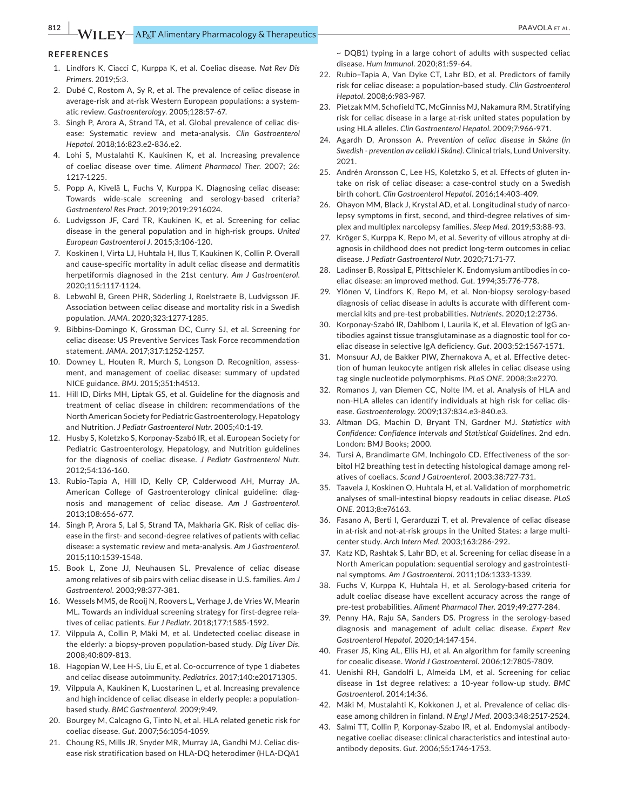### **REFERENCES**

- 1. Lindfors K, Ciacci C, Kurppa K, et al. Coeliac disease. *Nat Rev Dis Primers*. 2019;5:3.
- 2. Dubé C, Rostom A, Sy R, et al. The prevalence of celiac disease in average-risk and at-risk Western European populations: a systematic review. *Gastroenterology*. 2005;128:57-67.
- 3. Singh P, Arora A, Strand TA, et al. Global prevalence of celiac disease: Systematic review and meta-analysis. *Clin Gastroenterol Hepatol*. 2018;16:823.e2-836.e2.
- 4. Lohi S, Mustalahti K, Kaukinen K, et al. Increasing prevalence of coeliac disease over time. *Aliment Pharmacol Ther*. 2007; 26: 1217-1225.
- 5. Popp A, Kivelä L, Fuchs V, Kurppa K. Diagnosing celiac disease: Towards wide-scale screening and serology-based criteria? *Gastroenterol Res Pract*. 2019;2019:2916024.
- 6. Ludvigsson JF, Card TR, Kaukinen K, et al. Screening for celiac disease in the general population and in high-risk groups. *United European Gastroenterol J*. 2015;3:106-120.
- 7. Koskinen I, Virta LJ, Huhtala H, Ilus T, Kaukinen K, Collin P. Overall and cause-specific mortality in adult celiac disease and dermatitis herpetiformis diagnosed in the 21st century. *Am J Gastroenterol*. 2020;115:1117-1124.
- 8. Lebwohl B, Green PHR, Söderling J, Roelstraete B, Ludvigsson JF. Association between celiac disease and mortality risk in a Swedish population. *JAMA*. 2020;323:1277-1285.
- 9. Bibbins-Domingo K, Grossman DC, Curry SJ, et al. Screening for celiac disease: US Preventive Services Task Force recommendation statement. *JAMA*. 2017;317:1252-1257.
- 10. Downey L, Houten R, Murch S, Longson D. Recognition, assessment, and management of coeliac disease: summary of updated NICE guidance. *BMJ*. 2015;351:h4513.
- 11. Hill ID, Dirks MH, Liptak GS, et al. Guideline for the diagnosis and treatment of celiac disease in children: recommendations of the North American Society for Pediatric Gastroenterology, Hepatology and Nutrition. *J Pediatr Gastroenterol Nutr*. 2005;40:1-19.
- 12. Husby S, Koletzko S, Korponay-Szabó IR, et al. European Society for Pediatric Gastroenterology, Hepatology, and Nutrition guidelines for the diagnosis of coeliac disease. *J Pediatr Gastroenterol Nutr*. 2012;54:136-160.
- 13. Rubio-Tapia A, Hill ID, Kelly CP, Calderwood AH, Murray JA. American College of Gastroenterology clinical guideline: diagnosis and management of celiac disease. *Am J Gastroenterol*. 2013;108:656-677.
- 14. Singh P, Arora S, Lal S, Strand TA, Makharia GK. Risk of celiac disease in the first- and second-degree relatives of patients with celiac disease: a systematic review and meta-analysis. *Am J Gastroenterol*. 2015;110:1539-1548.
- 15. Book L, Zone JJ, Neuhausen SL. Prevalence of celiac disease among relatives of sib pairs with celiac disease in U.S. families. *Am J Gastroenterol*. 2003;98:377-381.
- 16. Wessels MMS, de Rooij N, Roovers L, Verhage J, de Vries W, Mearin ML. Towards an individual screening strategy for first-degree relatives of celiac patients. *Eur J Pediatr*. 2018;177:1585-1592.
- 17. Vilppula A, Collin P, Mäki M, et al. Undetected coeliac disease in the elderly: a biopsy-proven population-based study. *Dig Liver Dis*. 2008;40:809-813.
- 18. Hagopian W, Lee H-S, Liu E, et al. Co-occurrence of type 1 diabetes and celiac disease autoimmunity. *Pediatrics*. 2017;140:e20171305.
- 19. Vilppula A, Kaukinen K, Luostarinen L, et al. Increasing prevalence and high incidence of celiac disease in elderly people: a populationbased study. *BMC Gastroenterol*. 2009;9:49.
- 20. Bourgey M, Calcagno G, Tinto N, et al. HLA related genetic risk for coeliac disease. *Gut*. 2007;56:1054-1059.
- 21. Choung RS, Mills JR, Snyder MR, Murray JA, Gandhi MJ. Celiac disease risk stratification based on HLA-DQ heterodimer (HLA-DQA1

~ DQB1) typing in a large cohort of adults with suspected celiac disease. *Hum Immunol*. 2020;81:59-64.

- 22. Rubio–Tapia A, Van Dyke CT, Lahr BD, et al. Predictors of family risk for celiac disease: a population-based study. *Clin Gastroenterol Hepatol*. 2008;6:983-987.
- 23. Pietzak MM, Schofield TC, McGinniss MJ, Nakamura RM. Stratifying risk for celiac disease in a large at-risk united states population by using HLA alleles. *Clin Gastroenterol Hepatol*. 2009;7:966-971.
- 24. Agardh D, Aronsson A. *Prevention of celiac disease in Skåne (in Swedish - prevention av celiaki i Skåne)*. Clinical trials, Lund University. 2021.
- 25. Andrén Aronsson C, Lee HS, Koletzko S, et al. Effects of gluten intake on risk of celiac disease: a case-control study on a Swedish birth cohort. *Clin Gastroenterol Hepatol*. 2016;14:403-409.
- 26. Ohayon MM, Black J, Krystal AD, et al. Longitudinal study of narcolepsy symptoms in first, second, and third-degree relatives of simplex and multiplex narcolepsy families. *Sleep Med*. 2019;53:88-93.
- 27. Kröger S, Kurppa K, Repo M, et al. Severity of villous atrophy at diagnosis in childhood does not predict long-term outcomes in celiac disease. *J Pediatr Gastroenterol Nutr*. 2020;71:71-77.
- 28. Ladinser B, Rossipal E, Pittschieler K. Endomysium antibodies in coeliac disease: an improved method. *Gut*. 1994;35:776-778.
- 29. Ylönen V, Lindfors K, Repo M, et al. Non-biopsy serology-based diagnosis of celiac disease in adults is accurate with different commercial kits and pre-test probabilities. *Nutrients*. 2020;12:2736.
- 30. Korponay-Szabó IR, Dahlbom I, Laurila K, et al. Elevation of IgG antibodies against tissue transglutaminase as a diagnostic tool for coeliac disease in selective IgA deficiency. *Gut*. 2003;52:1567-1571.
- 31. Monsuur AJ, de Bakker PIW, Zhernakova A, et al. Effective detection of human leukocyte antigen risk alleles in celiac disease using tag single nucleotide polymorphisms. *PLoS ONE*. 2008;3:e2270.
- 32. Romanos J, van Diemen CC, Nolte IM, et al. Analysis of HLA and non-HLA alleles can identify individuals at high risk for celiac disease. *Gastroenterology*. 2009;137:834.e3-840.e3.
- 33. Altman DG, Machin D, Bryant TN, Gardner MJ. *Statistics with Confidence: Confidence Intervals and Statistical Guidelines*. 2nd edn. London: BMJ Books; 2000.
- 34. Tursi A, Brandimarte GM, Inchingolo CD. Effectiveness of the sorbitol H2 breathing test in detecting histological damage among relatives of coeliacs. *Scand J Gatroenterol*. 2003;38:727-731.
- 35. Taavela J, Koskinen O, Huhtala H, et al. Validation of morphometric analyses of small-intestinal biopsy readouts in celiac disease. *PLoS ONE*. 2013;8:e76163.
- 36. Fasano A, Berti I, Gerarduzzi T, et al. Prevalence of celiac disease in at-risk and not-at-risk groups in the United States: a large multicenter study. *Arch Intern Med*. 2003;163:286-292.
- 37. Katz KD, Rashtak S, Lahr BD, et al. Screening for celiac disease in a North American population: sequential serology and gastrointestinal symptoms. *Am J Gastroenterol*. 2011;106:1333-1339.
- 38. Fuchs V, Kurppa K, Huhtala H, et al. Serology-based criteria for adult coeliac disease have excellent accuracy across the range of pre-test probabilities. *Aliment Pharmacol Ther*. 2019;49:277-284.
- 39. Penny HA, Raju SA, Sanders DS. Progress in the serology-based diagnosis and management of adult celiac disease. *Expert Rev Gastroenterol Hepatol*. 2020;14:147-154.
- 40. Fraser JS, King AL, Ellis HJ, et al. An algorithm for family screening for coealic disease. *World J Gastroenterol*. 2006;12:7805-7809.
- 41. Uenishi RH, Gandolfi L, Almeida LM, et al. Screening for celiac disease in 1st degree relatives: a 10-year follow-up study. *BMC Gastroenterol*. 2014;14:36.
- 42. Mäki M, Mustalahti K, Kokkonen J, et al. Prevalence of celiac disease among children in finland. *N Engl J Med*. 2003;348:2517-2524.
- 43. Salmi TT, Collin P, Korponay-Szabo IR, et al. Endomysial antibodynegative coeliac disease: clinical characteristics and intestinal autoantibody deposits. *Gut*. 2006;55:1746-1753.